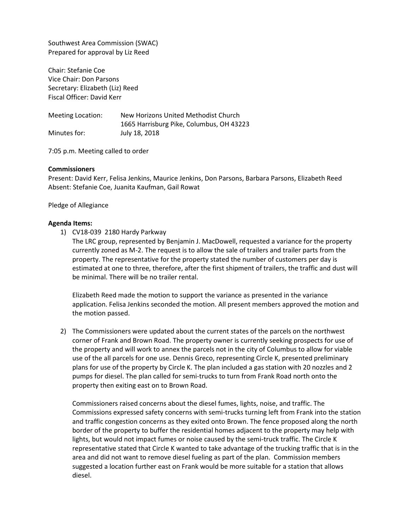Southwest Area Commission (SWAC) Prepared for approval by Liz Reed

Chair: Stefanie Coe Vice Chair: Don Parsons Secretary: Elizabeth (Liz) Reed Fiscal Officer: David Kerr

Meeting Location: New Horizons United Methodist Church 1665 Harrisburg Pike, Columbus, OH 43223 Minutes for: July 18, 2018

7:05 p.m. Meeting called to order

## **Commissioners**

Present: David Kerr, Felisa Jenkins, Maurice Jenkins, Don Parsons, Barbara Parsons, Elizabeth Reed Absent: Stefanie Coe, Juanita Kaufman, Gail Rowat

Pledge of Allegiance

## **Agenda Items:**

1) CV18-039 2180 Hardy Parkway

The LRC group, represented by Benjamin J. MacDowell, requested a variance for the property currently zoned as M-2. The request is to allow the sale of trailers and trailer parts from the property. The representative for the property stated the number of customers per day is estimated at one to three, therefore, after the first shipment of trailers, the traffic and dust will be minimal. There will be no trailer rental.

Elizabeth Reed made the motion to support the variance as presented in the variance application. Felisa Jenkins seconded the motion. All present members approved the motion and the motion passed.

2) The Commissioners were updated about the current states of the parcels on the northwest corner of Frank and Brown Road. The property owner is currently seeking prospects for use of the property and will work to annex the parcels not in the city of Columbus to allow for viable use of the all parcels for one use. Dennis Greco, representing Circle K, presented preliminary plans for use of the property by Circle K. The plan included a gas station with 20 nozzles and 2 pumps for diesel. The plan called for semi-trucks to turn from Frank Road north onto the property then exiting east on to Brown Road.

Commissioners raised concerns about the diesel fumes, lights, noise, and traffic. The Commissions expressed safety concerns with semi-trucks turning left from Frank into the station and traffic congestion concerns as they exited onto Brown. The fence proposed along the north border of the property to buffer the residential homes adjacent to the property may help with lights, but would not impact fumes or noise caused by the semi-truck traffic. The Circle K representative stated that Circle K wanted to take advantage of the trucking traffic that is in the area and did not want to remove diesel fueling as part of the plan. Commission members suggested a location further east on Frank would be more suitable for a station that allows diesel.